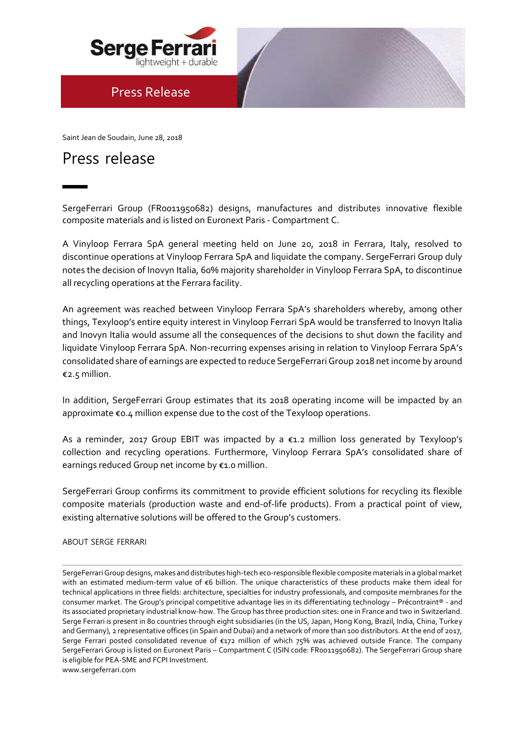

## Press Release

Saint Jean de Soudain, June 28, 2018

# Press release

SergeFerrari Group (FR0011950682) designs, manufactures and distributes innovative flexible composite materials and is listed on Euronext Paris - Compartment C.

notes the decision of Inovyn Italia, 60% majority shareholder in Vinyloop Ferrara SpA, to discontinue A Vinyloop Ferrara SpA general meeting held on June 20, 2018 in Ferrara, Italy, resolved to discontinue operations at Vinyloop Ferrara SpA and liquidate the company. SergeFerrari Group duly all recycling operations at the Ferrara facility.

An agreement was reached between Vinyloop Ferrara SpA's shareholders whereby, among other things, Texyloop's entire equity interest in Vinyloop Ferrari SpA would be transferred to Inovyn Italia and Inovyn Italia would assume all the consequences of the decisions to shut down the facility and liquidate Vinyloop Ferrara SpA. Non-recurring expenses arising in relation to Vinyloop Ferrara SpA's consolidated share of earnings are expected to reduce SergeFerrari Group 2018 net income by around €2.5 million.

In addition, SergeFerrari Group estimates that its 2018 operating income will be impacted by an approximate €0.4 million expense due to the cost of the Texyloop operations.

As a reminder, 2017 Group EBIT was impacted by a €1.2 million loss generated by Texyloop's collection and recycling operations. Furthermore, Vinyloop Ferrara SpA's consolidated share of earnings reduced Group net income by €1.0 million.

SergeFerrari Group confirms its commitment to provide efficient solutions for recycling its flexible composite materials (production waste and end-of-life products). From a practical point of view, existing alternative solutions will be offered to the Group's customers.

#### ABOUT SERGE FERRARI

SergeFerrari Group designs, makes and distributes high-tech eco-responsible flexible composite materials in a global market with an estimated medium-term value of €6 billion. The unique characteristics of these products make them ideal for technical applications in three fields: architecture, specialties for industry professionals, and composite membranes for the consumer market. The Group's principal competitive advantage lies in its differentiating technology – Précontraint® - and its associated proprietary industrial know-how. The Group has three production sites: one in France and two in Switzerland. Serge Ferrari is present in 80 countries through eight subsidiaries (in the US, Japan, Hong Kong, Brazil, India, China, Turkey and Germany), 2 representative offices (in Spain and Dubai) and a network of more than 100 distributors. At the end of 2017, Serge Ferrari posted consolidated revenue of €172 million of which 75% was achieved outside France. The company SergeFerrari Group is listed on Euronext Paris – Compartment C (ISIN code: FR0011950682). The SergeFerrari Group share is eligible for PEA-SME and FCPI Investment.